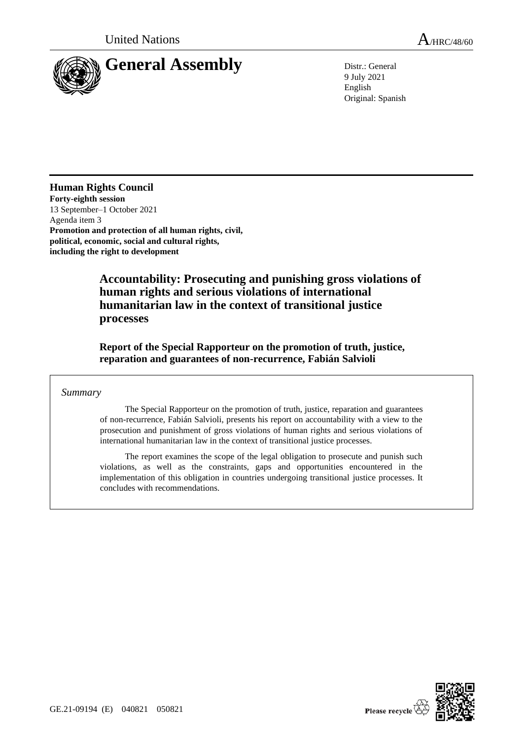

9 July 2021 English Original: Spanish

## **Human Rights Council**

**Forty-eighth session** 13 September–1 October 2021 Agenda item 3 **Promotion and protection of all human rights, civil, political, economic, social and cultural rights, including the right to development**

> **Accountability: Prosecuting and punishing gross violations of human rights and serious violations of international humanitarian law in the context of transitional justice processes**

**Report of the Special Rapporteur on the promotion of truth, justice, reparation and guarantees of non-recurrence, Fabián Salvioli**

### *Summary*

The Special Rapporteur on the promotion of truth, justice, reparation and guarantees of non-recurrence, Fabián Salvioli, presents his report on accountability with a view to the prosecution and punishment of gross violations of human rights and serious violations of international humanitarian law in the context of transitional justice processes.

The report examines the scope of the legal obligation to prosecute and punish such violations, as well as the constraints, gaps and opportunities encountered in the implementation of this obligation in countries undergoing transitional justice processes. It concludes with recommendations.

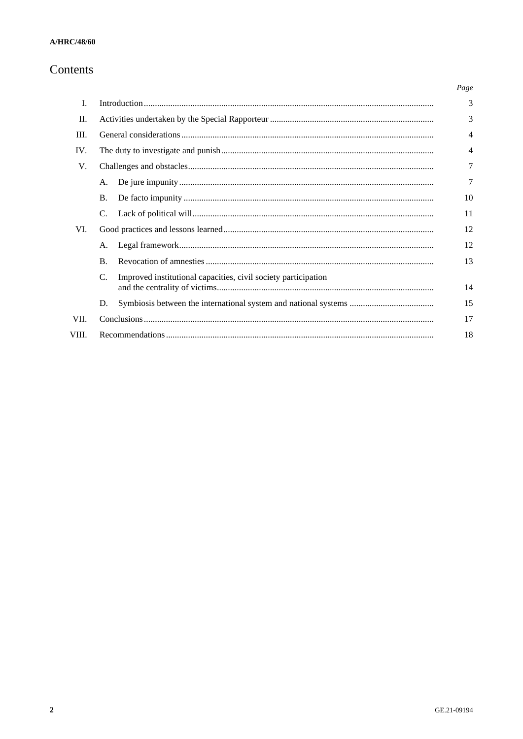# Contents

|       |                                                                      | Page           |
|-------|----------------------------------------------------------------------|----------------|
| I.    |                                                                      | 3              |
| H.    |                                                                      | 3              |
| III.  |                                                                      | $\overline{4}$ |
| IV.   |                                                                      | 4              |
| V.    |                                                                      | 7              |
|       | А.                                                                   | 7              |
|       | <b>B.</b>                                                            | 10             |
|       | C.                                                                   | 11             |
| VI.   |                                                                      | 12             |
|       | Α.                                                                   | 12             |
|       | <b>B.</b>                                                            | 13             |
|       | C.<br>Improved institutional capacities, civil society participation | 14             |
|       | D.                                                                   | 15             |
| VII.  |                                                                      | 17             |
| VIII. |                                                                      | 18             |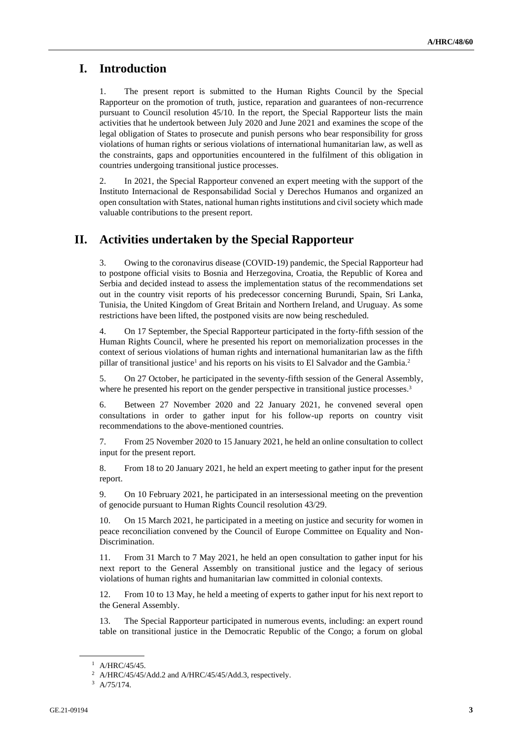# **I. Introduction**

1. The present report is submitted to the Human Rights Council by the Special Rapporteur on the promotion of truth, justice, reparation and guarantees of non-recurrence pursuant to Council resolution 45/10. In the report, the Special Rapporteur lists the main activities that he undertook between July 2020 and June 2021 and examines the scope of the legal obligation of States to prosecute and punish persons who bear responsibility for gross violations of human rights or serious violations of international humanitarian law, as well as the constraints, gaps and opportunities encountered in the fulfilment of this obligation in countries undergoing transitional justice processes.

2. In 2021, the Special Rapporteur convened an expert meeting with the support of the Instituto Internacional de Responsabilidad Social y Derechos Humanos and organized an open consultation with States, national human rights institutions and civil society which made valuable contributions to the present report.

# **II. Activities undertaken by the Special Rapporteur**

3. Owing to the coronavirus disease (COVID-19) pandemic, the Special Rapporteur had to postpone official visits to Bosnia and Herzegovina, Croatia, the Republic of Korea and Serbia and decided instead to assess the implementation status of the recommendations set out in the country visit reports of his predecessor concerning Burundi, Spain, Sri Lanka, Tunisia, the United Kingdom of Great Britain and Northern Ireland, and Uruguay. As some restrictions have been lifted, the postponed visits are now being rescheduled.

4. On 17 September, the Special Rapporteur participated in the forty-fifth session of the Human Rights Council, where he presented his report on memorialization processes in the context of serious violations of human rights and international humanitarian law as the fifth pillar of transitional justice<sup>1</sup> and his reports on his visits to El Salvador and the Gambia.<sup>2</sup>

5. On 27 October, he participated in the seventy-fifth session of the General Assembly, where he presented his report on the gender perspective in transitional justice processes.<sup>3</sup>

6. Between 27 November 2020 and 22 January 2021, he convened several open consultations in order to gather input for his follow-up reports on country visit recommendations to the above-mentioned countries.

7. From 25 November 2020 to 15 January 2021, he held an online consultation to collect input for the present report.

8. From 18 to 20 January 2021, he held an expert meeting to gather input for the present report.

9. On 10 February 2021, he participated in an intersessional meeting on the prevention of genocide pursuant to Human Rights Council resolution 43/29.

10. On 15 March 2021, he participated in a meeting on justice and security for women in peace reconciliation convened by the Council of Europe Committee on Equality and Non-Discrimination.

11. From 31 March to 7 May 2021, he held an open consultation to gather input for his next report to the General Assembly on transitional justice and the legacy of serious violations of human rights and humanitarian law committed in colonial contexts.

12. From 10 to 13 May, he held a meeting of experts to gather input for his next report to the General Assembly.

13. The Special Rapporteur participated in numerous events, including: an expert round table on transitional justice in the Democratic Republic of the Congo; a forum on global

 $1$  A/HRC/45/45.

<sup>&</sup>lt;sup>2</sup> A/HRC/45/45/Add.2 and A/HRC/45/45/Add.3, respectively.

<sup>3</sup> A/75/174.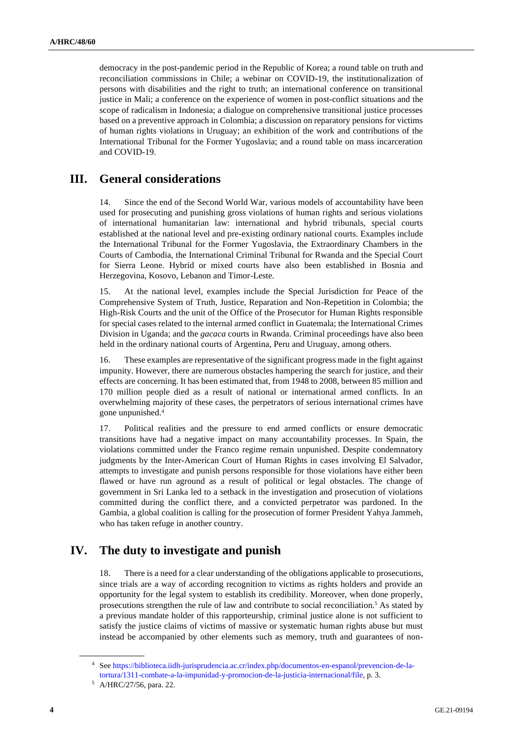democracy in the post-pandemic period in the Republic of Korea; a round table on truth and reconciliation commissions in Chile; a webinar on COVID-19, the institutionalization of persons with disabilities and the right to truth; an international conference on transitional justice in Mali; a conference on the experience of women in post-conflict situations and the scope of radicalism in Indonesia; a dialogue on comprehensive transitional justice processes based on a preventive approach in Colombia; a discussion on reparatory pensions for victims of human rights violations in Uruguay; an exhibition of the work and contributions of the International Tribunal for the Former Yugoslavia; and a round table on mass incarceration and COVID-19.

## **III. General considerations**

14. Since the end of the Second World War, various models of accountability have been used for prosecuting and punishing gross violations of human rights and serious violations of international humanitarian law: international and hybrid tribunals, special courts established at the national level and pre-existing ordinary national courts. Examples include the International Tribunal for the Former Yugoslavia, the Extraordinary Chambers in the Courts of Cambodia, the International Criminal Tribunal for Rwanda and the Special Court for Sierra Leone. Hybrid or mixed courts have also been established in Bosnia and Herzegovina, Kosovo, Lebanon and Timor-Leste.

15. At the national level, examples include the Special Jurisdiction for Peace of the Comprehensive System of Truth, Justice, Reparation and Non-Repetition in Colombia; the High-Risk Courts and the unit of the Office of the Prosecutor for Human Rights responsible for special cases related to the internal armed conflict in Guatemala; the International Crimes Division in Uganda; and the *gacaca* courts in Rwanda. Criminal proceedings have also been held in the ordinary national courts of Argentina, Peru and Uruguay, among others.

16. These examples are representative of the significant progress made in the fight against impunity. However, there are numerous obstacles hampering the search for justice, and their effects are concerning. It has been estimated that, from 1948 to 2008, between 85 million and 170 million people died as a result of national or international armed conflicts. In an overwhelming majority of these cases, the perpetrators of serious international crimes have gone unpunished.<sup>4</sup>

17. Political realities and the pressure to end armed conflicts or ensure democratic transitions have had a negative impact on many accountability processes. In Spain, the violations committed under the Franco regime remain unpunished. Despite condemnatory judgments by the Inter-American Court of Human Rights in cases involving El Salvador, attempts to investigate and punish persons responsible for those violations have either been flawed or have run aground as a result of political or legal obstacles. The change of government in Sri Lanka led to a setback in the investigation and prosecution of violations committed during the conflict there, and a convicted perpetrator was pardoned. In the Gambia, a global coalition is calling for the prosecution of former President Yahya Jammeh, who has taken refuge in another country.

## **IV. The duty to investigate and punish**

18. There is a need for a clear understanding of the obligations applicable to prosecutions, since trials are a way of according recognition to victims as rights holders and provide an opportunity for the legal system to establish its credibility. Moreover, when done properly, prosecutions strengthen the rule of law and contribute to social reconciliation.<sup>5</sup> As stated by a previous mandate holder of this rapporteurship, criminal justice alone is not sufficient to satisfy the justice claims of victims of massive or systematic human rights abuse but must instead be accompanied by other elements such as memory, truth and guarantees of non-

<sup>4</sup> Se[e https://biblioteca.iidh-jurisprudencia.ac.cr/index.php/documentos-en-espanol/prevencion-de-la](https://biblioteca.iidh-jurisprudencia.ac.cr/index.php/documentos-en-espanol/prevencion-de-la-tortura/1311-combate-a-la-impunidad-y-promocion-de-la-justicia-internacional/file)[tortura/1311-combate-a-la-impunidad-y-promocion-de-la-justicia-internacional/file,](https://biblioteca.iidh-jurisprudencia.ac.cr/index.php/documentos-en-espanol/prevencion-de-la-tortura/1311-combate-a-la-impunidad-y-promocion-de-la-justicia-internacional/file) p. 3.

<sup>5</sup> A/HRC/27/56, para. 22.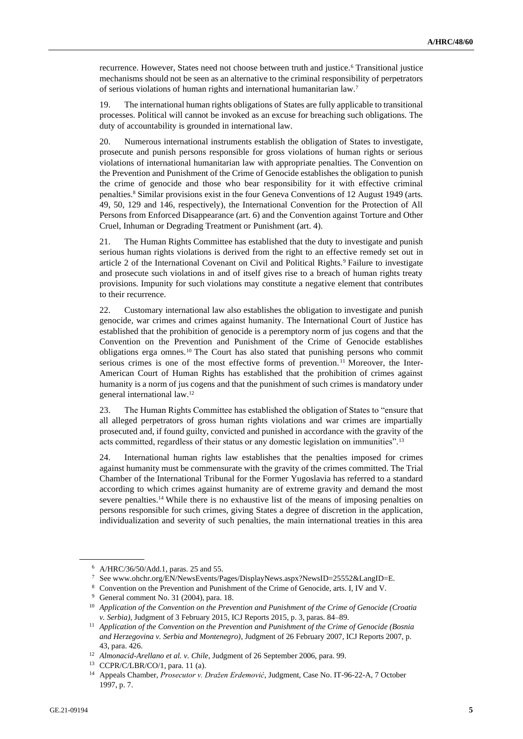recurrence. However, States need not choose between truth and justice.<sup>6</sup> Transitional justice mechanisms should not be seen as an alternative to the criminal responsibility of perpetrators of serious violations of human rights and international humanitarian law.<sup>7</sup>

19. The international human rights obligations of States are fully applicable to transitional processes. Political will cannot be invoked as an excuse for breaching such obligations. The duty of accountability is grounded in international law.

20. Numerous international instruments establish the obligation of States to investigate, prosecute and punish persons responsible for gross violations of human rights or serious violations of international humanitarian law with appropriate penalties. The Convention on the Prevention and Punishment of the Crime of Genocide establishes the obligation to punish the crime of genocide and those who bear responsibility for it with effective criminal penalties.<sup>8</sup> Similar provisions exist in the four Geneva Conventions of 12 August 1949 (arts. 49, 50, 129 and 146, respectively), the International Convention for the Protection of All Persons from Enforced Disappearance (art. 6) and the Convention against Torture and Other Cruel, Inhuman or Degrading Treatment or Punishment (art. 4).

21. The Human Rights Committee has established that the duty to investigate and punish serious human rights violations is derived from the right to an effective remedy set out in article 2 of the International Covenant on Civil and Political Rights.<sup>9</sup> Failure to investigate and prosecute such violations in and of itself gives rise to a breach of human rights treaty provisions. Impunity for such violations may constitute a negative element that contributes to their recurrence.

22. Customary international law also establishes the obligation to investigate and punish genocide, war crimes and crimes against humanity. The International Court of Justice has established that the prohibition of genocide is a peremptory norm of jus cogens and that the Convention on the Prevention and Punishment of the Crime of Genocide establishes obligations erga omnes.<sup>10</sup> The Court has also stated that punishing persons who commit serious crimes is one of the most effective forms of prevention.<sup>11</sup> Moreover, the Inter-American Court of Human Rights has established that the prohibition of crimes against humanity is a norm of jus cogens and that the punishment of such crimes is mandatory under general international law.<sup>12</sup>

23. The Human Rights Committee has established the obligation of States to "ensure that all alleged perpetrators of gross human rights violations and war crimes are impartially prosecuted and, if found guilty, convicted and punished in accordance with the gravity of the acts committed, regardless of their status or any domestic legislation on immunities".<sup>13</sup>

24. International human rights law establishes that the penalties imposed for crimes against humanity must be commensurate with the gravity of the crimes committed. The Trial Chamber of the International Tribunal for the Former Yugoslavia has referred to a standard according to which crimes against humanity are of extreme gravity and demand the most severe penalties.<sup>14</sup> While there is no exhaustive list of the means of imposing penalties on persons responsible for such crimes, giving States a degree of discretion in the application, individualization and severity of such penalties, the main international treaties in this area

<sup>6</sup> A/HRC/36/50/Add.1, paras. 25 and 55.

<sup>7</sup> See www.ohchr.org/EN/NewsEvents/Pages/DisplayNews.aspx?NewsID=25552&LangID=E.

<sup>8</sup> Convention on the Prevention and Punishment of the Crime of Genocide, arts. I, IV and V.

<sup>9</sup> General comment No. 31 (2004), para. 18.

<sup>10</sup> *Application of the Convention on the Prevention and Punishment of the Crime of Genocide (Croatia v. Serbia)*, Judgment of 3 February 2015, ICJ Reports 2015, p. 3, paras. 84–89.

<sup>11</sup> *Application of the Convention on the Prevention and Punishment of the Crime of Genocide (Bosnia and Herzegovina v. Serbia and Montenegro)*, Judgment of 26 February 2007, ICJ Reports 2007, p. 43, para. 426.

<sup>12</sup> *Almonacid-Arellano et al. v. Chile*, Judgment of 26 September 2006, para. 99.

<sup>13</sup> CCPR/C/LBR/CO/1, para. 11 (a).

<sup>14</sup> Appeals Chamber, *Prosecutor v. Dražen Erdemović*, Judgment, Case No. IT-96-22-A, 7 October 1997, p. 7.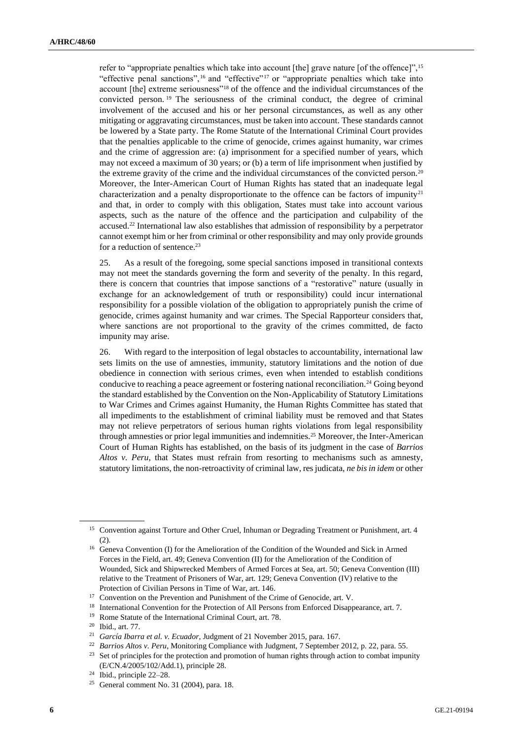refer to "appropriate penalties which take into account [the] grave nature [of the offence]",<sup>15</sup> "effective penal sanctions",<sup>16</sup> and "effective"<sup>17</sup> or "appropriate penalties which take into account [the] extreme seriousness"<sup>18</sup> of the offence and the individual circumstances of the convicted person. <sup>19</sup> The seriousness of the criminal conduct, the degree of criminal involvement of the accused and his or her personal circumstances, as well as any other mitigating or aggravating circumstances, must be taken into account. These standards cannot be lowered by a State party. The Rome Statute of the International Criminal Court provides that the penalties applicable to the crime of genocide, crimes against humanity, war crimes and the crime of aggression are: (a) imprisonment for a specified number of years, which may not exceed a maximum of 30 years; or (b) a term of life imprisonment when justified by the extreme gravity of the crime and the individual circumstances of the convicted person.<sup>20</sup> Moreover, the Inter-American Court of Human Rights has stated that an inadequate legal characterization and a penalty disproportionate to the offence can be factors of impunity<sup>21</sup> and that, in order to comply with this obligation, States must take into account various aspects, such as the nature of the offence and the participation and culpability of the accused.<sup>22</sup> International law also establishes that admission of responsibility by a perpetrator cannot exempt him or her from criminal or other responsibility and may only provide grounds for a reduction of sentence.<sup>23</sup>

25. As a result of the foregoing, some special sanctions imposed in transitional contexts may not meet the standards governing the form and severity of the penalty. In this regard, there is concern that countries that impose sanctions of a "restorative" nature (usually in exchange for an acknowledgement of truth or responsibility) could incur international responsibility for a possible violation of the obligation to appropriately punish the crime of genocide, crimes against humanity and war crimes. The Special Rapporteur considers that, where sanctions are not proportional to the gravity of the crimes committed, de facto impunity may arise.

26. With regard to the interposition of legal obstacles to accountability, international law sets limits on the use of amnesties, immunity, statutory limitations and the notion of due obedience in connection with serious crimes, even when intended to establish conditions conducive to reaching a peace agreement or fostering national reconciliation.<sup>24</sup> Going beyond the standard established by the Convention on the Non-Applicability of Statutory Limitations to War Crimes and Crimes against Humanity, the Human Rights Committee has stated that all impediments to the establishment of criminal liability must be removed and that States may not relieve perpetrators of serious human rights violations from legal responsibility through amnesties or prior legal immunities and indemnities.<sup>25</sup> Moreover, the Inter-American Court of Human Rights has established, on the basis of its judgment in the case of *Barrios Altos v. Peru*, that States must refrain from resorting to mechanisms such as amnesty, statutory limitations, the non-retroactivity of criminal law, res judicata, *ne bis in idem* or other

<sup>&</sup>lt;sup>15</sup> Convention against Torture and Other Cruel, Inhuman or Degrading Treatment or Punishment, art. 4 (2).

<sup>&</sup>lt;sup>16</sup> Geneva Convention (I) for the Amelioration of the Condition of the Wounded and Sick in Armed Forces in the Field, art. 49; Geneva Convention (II) for the Amelioration of the Condition of Wounded, Sick and Shipwrecked Members of Armed Forces at Sea, art. 50; Geneva Convention (III) relative to the Treatment of Prisoners of War, art. 129; Geneva Convention (IV) relative to the Protection of Civilian Persons in Time of War, art. 146.

<sup>&</sup>lt;sup>17</sup> Convention on the Prevention and Punishment of the Crime of Genocide, art. V.

<sup>&</sup>lt;sup>18</sup> International Convention for the Protection of All Persons from Enforced Disappearance, art. 7.

<sup>19</sup> Rome Statute of the International Criminal Court, art. 78.

<sup>20</sup> Ibid., art. 77.

<sup>21</sup> *García Ibarra et al. v. Ecuador*, Judgment of 21 November 2015, para. 167.

<sup>&</sup>lt;sup>22</sup> *Barrios Altos v. Peru*, Monitoring Compliance with Judgment, 7 September 2012, p. 22, para. 55.

<sup>&</sup>lt;sup>23</sup> Set of principles for the protection and promotion of human rights through action to combat impunity (E/CN.4/2005/102/Add.1), principle 28.

<sup>24</sup> Ibid., principle 22–28.

<sup>25</sup> General comment No. 31 (2004), para. 18.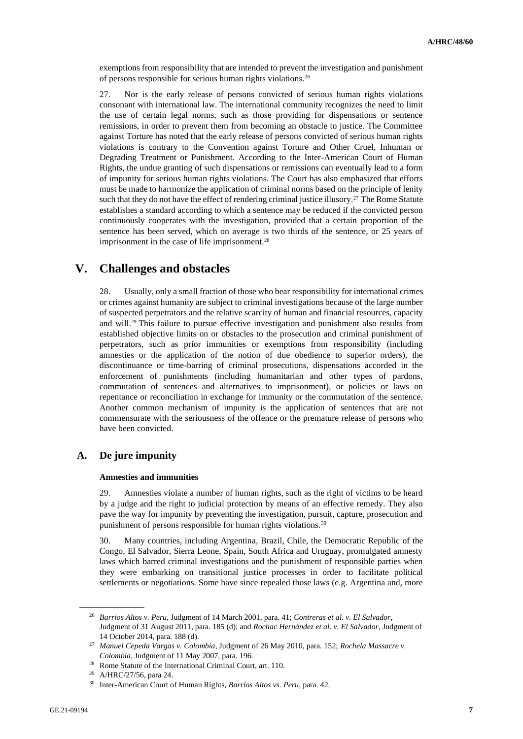exemptions from responsibility that are intended to prevent the investigation and punishment of persons responsible for serious human rights violations.<sup>26</sup>

27. Nor is the early release of persons convicted of serious human rights violations consonant with international law. The international community recognizes the need to limit the use of certain legal norms, such as those providing for dispensations or sentence remissions, in order to prevent them from becoming an obstacle to justice. The Committee against Torture has noted that the early release of persons convicted of serious human rights violations is contrary to the Convention against Torture and Other Cruel, Inhuman or Degrading Treatment or Punishment. According to the Inter-American Court of Human Rights, the undue granting of such dispensations or remissions can eventually lead to a form of impunity for serious human rights violations. The Court has also emphasized that efforts must be made to harmonize the application of criminal norms based on the principle of lenity such that they do not have the effect of rendering criminal justice illusory.<sup>27</sup> The Rome Statute establishes a standard according to which a sentence may be reduced if the convicted person continuously cooperates with the investigation, provided that a certain proportion of the sentence has been served, which on average is two thirds of the sentence, or 25 years of imprisonment in the case of life imprisonment.<sup>28</sup>

## **V. Challenges and obstacles**

28. Usually, only a small fraction of those who bear responsibility for international crimes or crimes against humanity are subject to criminal investigations because of the large number of suspected perpetrators and the relative scarcity of human and financial resources, capacity and will.<sup>29</sup> This failure to pursue effective investigation and punishment also results from established objective limits on or obstacles to the prosecution and criminal punishment of perpetrators, such as prior immunities or exemptions from responsibility (including amnesties or the application of the notion of due obedience to superior orders), the discontinuance or time-barring of criminal prosecutions, dispensations accorded in the enforcement of punishments (including humanitarian and other types of pardons, commutation of sentences and alternatives to imprisonment), or policies or laws on repentance or reconciliation in exchange for immunity or the commutation of the sentence. Another common mechanism of impunity is the application of sentences that are not commensurate with the seriousness of the offence or the premature release of persons who have been convicted.

## **A. De jure impunity**

#### **Amnesties and immunities**

29. Amnesties violate a number of human rights, such as the right of victims to be heard by a judge and the right to judicial protection by means of an effective remedy. They also pave the way for impunity by preventing the investigation, pursuit, capture, prosecution and punishment of persons responsible for human rights violations.<sup>30</sup>

30. Many countries, including Argentina, Brazil, Chile, the Democratic Republic of the Congo, El Salvador, Sierra Leone, Spain, South Africa and Uruguay, promulgated amnesty laws which barred criminal investigations and the punishment of responsible parties when they were embarking on transitional justice processes in order to facilitate political settlements or negotiations. Some have since repealed those laws (e.g. Argentina and, more

<sup>26</sup> *Barrios Altos v. Peru*, Judgment of 14 March 2001, para. 41; *Contreras et al. v. El Salvador*, Judgment of 31 August 2011, para. 185 (d); and *Rochac Hernández et al. v. El Salvador*, Judgment of 14 October 2014, para. 188 (d).

<sup>27</sup> *Manuel Cepeda Vargas v. Colombia*, Judgment of 26 May 2010, para. 152; *Rochela Massacre v. Colombia*, Judgment of 11 May 2007, para. 196.

<sup>28</sup> Rome Statute of the International Criminal Court, art. 110.

<sup>29</sup> A/HRC/27/56, para 24.

<sup>30</sup> Inter-American Court of Human Rights, *Barrios Altos vs. Peru*, para. 42.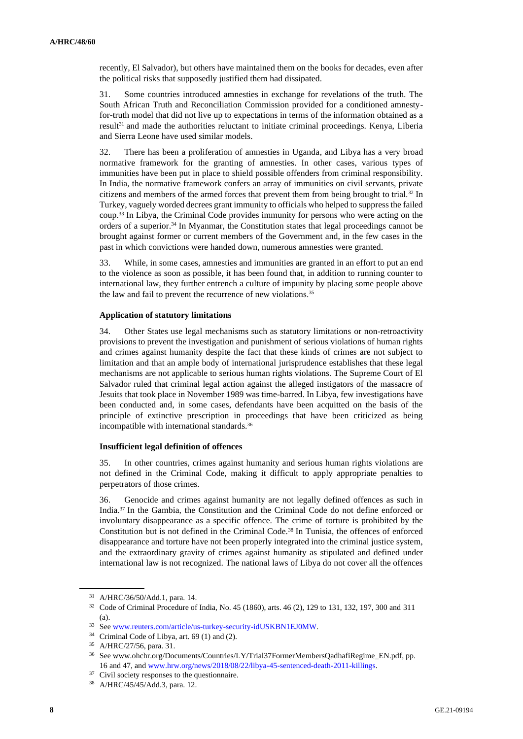recently, El Salvador), but others have maintained them on the books for decades, even after the political risks that supposedly justified them had dissipated.

31. Some countries introduced amnesties in exchange for revelations of the truth. The South African Truth and Reconciliation Commission provided for a conditioned amnestyfor-truth model that did not live up to expectations in terms of the information obtained as a result<sup>31</sup> and made the authorities reluctant to initiate criminal proceedings. Kenya, Liberia and Sierra Leone have used similar models.

32. There has been a proliferation of amnesties in Uganda, and Libya has a very broad normative framework for the granting of amnesties. In other cases, various types of immunities have been put in place to shield possible offenders from criminal responsibility. In India, the normative framework confers an array of immunities on civil servants, private citizens and members of the armed forces that prevent them from being brought to trial.<sup>32</sup> In Turkey, vaguely worded decrees grant immunity to officials who helped to suppress the failed coup.<sup>33</sup> In Libya, the Criminal Code provides immunity for persons who were acting on the orders of a superior.<sup>34</sup> In Myanmar, the Constitution states that legal proceedings cannot be brought against former or current members of the Government and, in the few cases in the past in which convictions were handed down, numerous amnesties were granted.

33. While, in some cases, amnesties and immunities are granted in an effort to put an end to the violence as soon as possible, it has been found that, in addition to running counter to international law, they further entrench a culture of impunity by placing some people above the law and fail to prevent the recurrence of new violations.<sup>35</sup>

#### **Application of statutory limitations**

34. Other States use legal mechanisms such as statutory limitations or non-retroactivity provisions to prevent the investigation and punishment of serious violations of human rights and crimes against humanity despite the fact that these kinds of crimes are not subject to limitation and that an ample body of international jurisprudence establishes that these legal mechanisms are not applicable to serious human rights violations. The Supreme Court of El Salvador ruled that criminal legal action against the alleged instigators of the massacre of Jesuits that took place in November 1989 was time-barred. In Libya, few investigations have been conducted and, in some cases, defendants have been acquitted on the basis of the principle of extinctive prescription in proceedings that have been criticized as being incompatible with international standards.<sup>36</sup>

#### **Insufficient legal definition of offences**

35. In other countries, crimes against humanity and serious human rights violations are not defined in the Criminal Code, making it difficult to apply appropriate penalties to perpetrators of those crimes.

36. Genocide and crimes against humanity are not legally defined offences as such in India.<sup>37</sup> In the Gambia, the Constitution and the Criminal Code do not define enforced or involuntary disappearance as a specific offence. The crime of torture is prohibited by the Constitution but is not defined in the Criminal Code.<sup>38</sup> In Tunisia, the offences of enforced disappearance and torture have not been properly integrated into the criminal justice system, and the extraordinary gravity of crimes against humanity as stipulated and defined under international law is not recognized. The national laws of Libya do not cover all the offences

<sup>31</sup> A/HRC/36/50/Add.1, para. 14.

<sup>32</sup> Code of Criminal Procedure of India, No. 45 (1860), arts. 46 (2), 129 to 131, 132, 197, 300 and 311 (a).

<sup>33</sup> Se[e www.reuters.com/article/us-turkey-security-idUSKBN1EJ0MW.](http://www.reuters.com/article/us-turkey-security-idUSKBN1EJ0MW)

<sup>34</sup> Criminal Code of Libya, art. 69 (1) and (2).

<sup>35</sup> A/HRC/27/56, para. 31.

<sup>36</sup> See www.ohchr.org/Documents/Countries/LY/Trial37FormerMembersQadhafiRegime\_EN.pdf, pp. 16 and 47, an[d www.hrw.org/news/2018/08/22/libya-45-sentenced-death-2011-killings.](https://www.hrw.org/news/2018/08/22/libya-45-sentenced-death-2011-killings) 

<sup>&</sup>lt;sup>37</sup> Civil society responses to the questionnaire.

<sup>38</sup> A/HRC/45/45/Add.3, para. 12.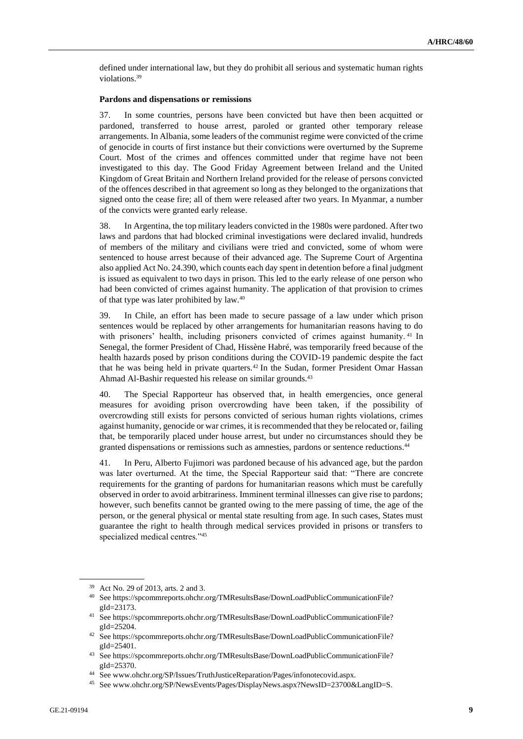defined under international law, but they do prohibit all serious and systematic human rights violations.<sup>39</sup>

#### **Pardons and dispensations or remissions**

37. In some countries, persons have been convicted but have then been acquitted or pardoned, transferred to house arrest, paroled or granted other temporary release arrangements. In Albania, some leaders of the communist regime were convicted of the crime of genocide in courts of first instance but their convictions were overturned by the Supreme Court. Most of the crimes and offences committed under that regime have not been investigated to this day. The Good Friday Agreement between Ireland and the United Kingdom of Great Britain and Northern Ireland provided for the release of persons convicted of the offences described in that agreement so long as they belonged to the organizations that signed onto the cease fire; all of them were released after two years. In Myanmar, a number of the convicts were granted early release.

38. In Argentina, the top military leaders convicted in the 1980s were pardoned. After two laws and pardons that had blocked criminal investigations were declared invalid, hundreds of members of the military and civilians were tried and convicted, some of whom were sentenced to house arrest because of their advanced age. The Supreme Court of Argentina also applied Act No. 24.390, which counts each day spent in detention before a final judgment is issued as equivalent to two days in prison. This led to the early release of one person who had been convicted of crimes against humanity. The application of that provision to crimes of that type was later prohibited by law.<sup>40</sup>

39. In Chile, an effort has been made to secure passage of a law under which prison sentences would be replaced by other arrangements for humanitarian reasons having to do with prisoners' health, including prisoners convicted of crimes against humanity.<sup>41</sup> In Senegal, the former President of Chad, Hissène Habré, was temporarily freed because of the health hazards posed by prison conditions during the COVID-19 pandemic despite the fact that he was being held in private quarters.<sup>42</sup> In the Sudan, former President Omar Hassan Ahmad Al-Bashir requested his release on similar grounds.<sup>43</sup>

40. The Special Rapporteur has observed that, in health emergencies, once general measures for avoiding prison overcrowding have been taken, if the possibility of overcrowding still exists for persons convicted of serious human rights violations, crimes against humanity, genocide or war crimes, it is recommended that they be relocated or, failing that, be temporarily placed under house arrest, but under no circumstances should they be granted dispensations or remissions such as amnesties, pardons or sentence reductions.<sup>44</sup>

41. In Peru, Alberto Fujimori was pardoned because of his advanced age, but the pardon was later overturned. At the time, the Special Rapporteur said that: "There are concrete requirements for the granting of pardons for humanitarian reasons which must be carefully observed in order to avoid arbitrariness. Imminent terminal illnesses can give rise to pardons; however, such benefits cannot be granted owing to the mere passing of time, the age of the person, or the general physical or mental state resulting from age. In such cases, States must guarantee the right to health through medical services provided in prisons or transfers to specialized medical centres."<sup>45</sup>

<sup>39</sup> Act No. 29 of 2013, arts. 2 and 3.

<sup>40</sup> See https://spcommreports.ohchr.org/TMResultsBase/DownLoadPublicCommunicationFile? gId=23173.

<sup>41</sup> See https://spcommreports.ohchr.org/TMResultsBase/DownLoadPublicCommunicationFile? gId=25204.

<sup>42</sup> See https://spcommreports.ohchr.org/TMResultsBase/DownLoadPublicCommunicationFile? gId=25401.

<sup>43</sup> See https://spcommreports.ohchr.org/TMResultsBase/DownLoadPublicCommunicationFile? gId=25370.

See www.ohchr.org/SP/Issues/TruthJusticeReparation/Pages/infonotecovid.aspx.

<sup>45</sup> See www.ohchr.org/SP/NewsEvents/Pages/DisplayNews.aspx?NewsID=23700&LangID=S.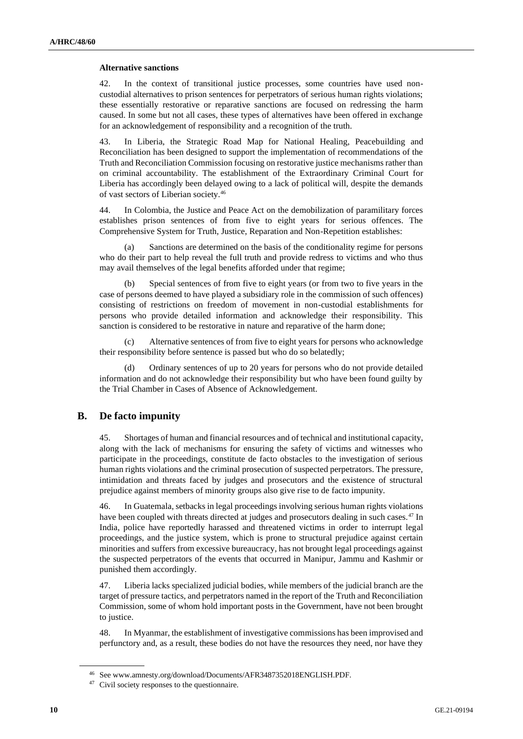#### **Alternative sanctions**

42. In the context of transitional justice processes, some countries have used noncustodial alternatives to prison sentences for perpetrators of serious human rights violations; these essentially restorative or reparative sanctions are focused on redressing the harm caused. In some but not all cases, these types of alternatives have been offered in exchange for an acknowledgement of responsibility and a recognition of the truth.

43. In Liberia, the Strategic Road Map for National Healing, Peacebuilding and Reconciliation has been designed to support the implementation of recommendations of the Truth and Reconciliation Commission focusing on restorative justice mechanisms rather than on criminal accountability. The establishment of the Extraordinary Criminal Court for Liberia has accordingly been delayed owing to a lack of political will, despite the demands of vast sectors of Liberian society.<sup>46</sup>

44. In Colombia, the Justice and Peace Act on the demobilization of paramilitary forces establishes prison sentences of from five to eight years for serious offences. The Comprehensive System for Truth, Justice, Reparation and Non-Repetition establishes:

(a) Sanctions are determined on the basis of the conditionality regime for persons who do their part to help reveal the full truth and provide redress to victims and who thus may avail themselves of the legal benefits afforded under that regime;

(b) Special sentences of from five to eight years (or from two to five years in the case of persons deemed to have played a subsidiary role in the commission of such offences) consisting of restrictions on freedom of movement in non-custodial establishments for persons who provide detailed information and acknowledge their responsibility. This sanction is considered to be restorative in nature and reparative of the harm done;

(c) Alternative sentences of from five to eight years for persons who acknowledge their responsibility before sentence is passed but who do so belatedly;

(d) Ordinary sentences of up to 20 years for persons who do not provide detailed information and do not acknowledge their responsibility but who have been found guilty by the Trial Chamber in Cases of Absence of Acknowledgement.

### **B. De facto impunity**

45. Shortages of human and financial resources and of technical and institutional capacity, along with the lack of mechanisms for ensuring the safety of victims and witnesses who participate in the proceedings, constitute de facto obstacles to the investigation of serious human rights violations and the criminal prosecution of suspected perpetrators. The pressure, intimidation and threats faced by judges and prosecutors and the existence of structural prejudice against members of minority groups also give rise to de facto impunity.

46. In Guatemala, setbacks in legal proceedings involving serious human rights violations have been coupled with threats directed at judges and prosecutors dealing in such cases.<sup>47</sup> In India, police have reportedly harassed and threatened victims in order to interrupt legal proceedings, and the justice system, which is prone to structural prejudice against certain minorities and suffers from excessive bureaucracy, has not brought legal proceedings against the suspected perpetrators of the events that occurred in Manipur, Jammu and Kashmir or punished them accordingly.

47. Liberia lacks specialized judicial bodies, while members of the judicial branch are the target of pressure tactics, and perpetrators named in the report of the Truth and Reconciliation Commission, some of whom hold important posts in the Government, have not been brought to justice.

48. In Myanmar, the establishment of investigative commissions has been improvised and perfunctory and, as a result, these bodies do not have the resources they need, nor have they

<sup>46</sup> See www.amnesty.org/download/Documents/AFR3487352018ENGLISH.PDF.

<sup>&</sup>lt;sup>47</sup> Civil society responses to the questionnaire.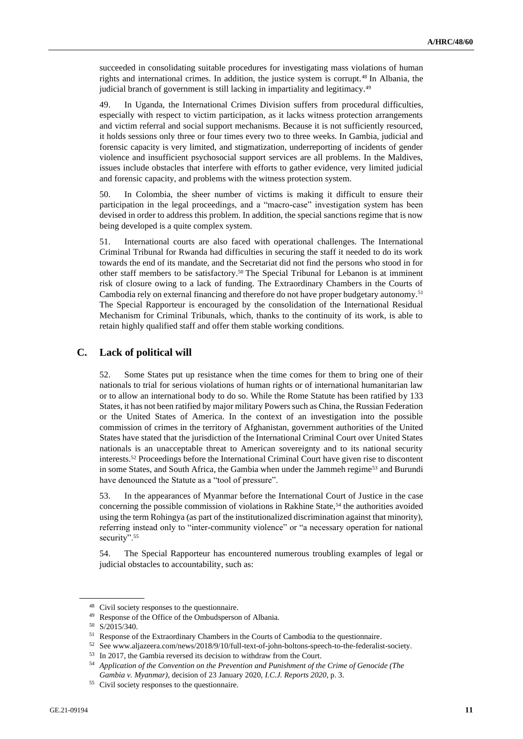succeeded in consolidating suitable procedures for investigating mass violations of human rights and international crimes. In addition, the justice system is corrupt.<sup>48</sup> In Albania, the judicial branch of government is still lacking in impartiality and legitimacy.<sup>49</sup>

49. In Uganda, the International Crimes Division suffers from procedural difficulties, especially with respect to victim participation, as it lacks witness protection arrangements and victim referral and social support mechanisms. Because it is not sufficiently resourced, it holds sessions only three or four times every two to three weeks. In Gambia, judicial and forensic capacity is very limited, and stigmatization, underreporting of incidents of gender violence and insufficient psychosocial support services are all problems. In the Maldives, issues include obstacles that interfere with efforts to gather evidence, very limited judicial and forensic capacity, and problems with the witness protection system.

50. In Colombia, the sheer number of victims is making it difficult to ensure their participation in the legal proceedings, and a "macro-case" investigation system has been devised in order to address this problem. In addition, the special sanctions regime that is now being developed is a quite complex system.

51. International courts are also faced with operational challenges. The International Criminal Tribunal for Rwanda had difficulties in securing the staff it needed to do its work towards the end of its mandate, and the Secretariat did not find the persons who stood in for other staff members to be satisfactory.<sup>50</sup> The Special Tribunal for Lebanon is at imminent risk of closure owing to a lack of funding. The Extraordinary Chambers in the Courts of Cambodia rely on external financing and therefore do not have proper budgetary autonomy.<sup>51</sup> The Special Rapporteur is encouraged by the consolidation of the International Residual Mechanism for Criminal Tribunals, which, thanks to the continuity of its work, is able to retain highly qualified staff and offer them stable working conditions.

### **C. Lack of political will**

52. Some States put up resistance when the time comes for them to bring one of their nationals to trial for serious violations of human rights or of international humanitarian law or to allow an international body to do so. While the Rome Statute has been ratified by 133 States, it has not been ratified by major military Powers such as China, the Russian Federation or the United States of America. In the context of an investigation into the possible commission of crimes in the territory of Afghanistan, government authorities of the United States have stated that the jurisdiction of the International Criminal Court over United States nationals is an unacceptable threat to American sovereignty and to its national security interests.<sup>52</sup> Proceedings before the International Criminal Court have given rise to discontent in some States, and South Africa, the Gambia when under the Jammeh regime<sup>53</sup> and Burundi have denounced the Statute as a "tool of pressure".

53. In the appearances of Myanmar before the International Court of Justice in the case concerning the possible commission of violations in Rakhine State, $54$  the authorities avoided using the term Rohingya (as part of the institutionalized discrimination against that minority), referring instead only to "inter-community violence" or "a necessary operation for national security".<sup>55</sup>

54. The Special Rapporteur has encountered numerous troubling examples of legal or judicial obstacles to accountability, such as:

<sup>48</sup> Civil society responses to the questionnaire.

<sup>49</sup> Response of the Office of the Ombudsperson of Albania.

<sup>50</sup> S/2015/340.

<sup>51</sup> Response of the Extraordinary Chambers in the Courts of Cambodia to the questionnaire.

<sup>52</sup> See www.aljazeera.com/news/2018/9/10/full-text-of-john-boltons-speech-to-the-federalist-society.

<sup>53</sup> In 2017, the Gambia reversed its decision to withdraw from the Court.

<sup>54</sup> *Application of the Convention on the Prevention and Punishment of the Crime of Genocide (The Gambia v. Myanmar)*, decision of 23 January 2020, *I.C.J. Reports 2020*, p. 3.

<sup>55</sup> Civil society responses to the questionnaire.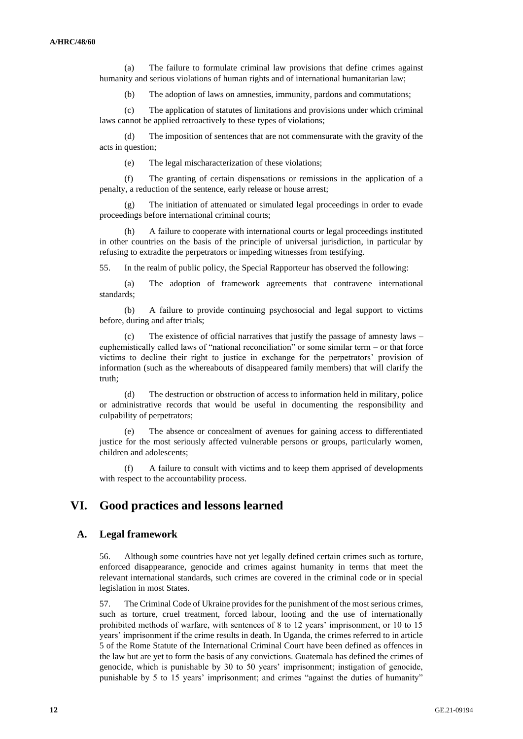(a) The failure to formulate criminal law provisions that define crimes against humanity and serious violations of human rights and of international humanitarian law;

(b) The adoption of laws on amnesties, immunity, pardons and commutations;

(c) The application of statutes of limitations and provisions under which criminal laws cannot be applied retroactively to these types of violations;

(d) The imposition of sentences that are not commensurate with the gravity of the acts in question;

(e) The legal mischaracterization of these violations;

(f) The granting of certain dispensations or remissions in the application of a penalty, a reduction of the sentence, early release or house arrest;

(g) The initiation of attenuated or simulated legal proceedings in order to evade proceedings before international criminal courts;

(h) A failure to cooperate with international courts or legal proceedings instituted in other countries on the basis of the principle of universal jurisdiction, in particular by refusing to extradite the perpetrators or impeding witnesses from testifying.

55. In the realm of public policy, the Special Rapporteur has observed the following:

(a) The adoption of framework agreements that contravene international standards;

(b) A failure to provide continuing psychosocial and legal support to victims before, during and after trials;

(c) The existence of official narratives that justify the passage of amnesty laws – euphemistically called laws of "national reconciliation" or some similar term – or that force victims to decline their right to justice in exchange for the perpetrators' provision of information (such as the whereabouts of disappeared family members) that will clarify the truth;

(d) The destruction or obstruction of access to information held in military, police or administrative records that would be useful in documenting the responsibility and culpability of perpetrators;

(e) The absence or concealment of avenues for gaining access to differentiated justice for the most seriously affected vulnerable persons or groups, particularly women, children and adolescents;

(f) A failure to consult with victims and to keep them apprised of developments with respect to the accountability process.

## **VI. Good practices and lessons learned**

### **A. Legal framework**

56. Although some countries have not yet legally defined certain crimes such as torture, enforced disappearance, genocide and crimes against humanity in terms that meet the relevant international standards, such crimes are covered in the criminal code or in special legislation in most States.

57. The Criminal Code of Ukraine provides for the punishment of the most serious crimes, such as torture, cruel treatment, forced labour, looting and the use of internationally prohibited methods of warfare, with sentences of 8 to 12 years' imprisonment, or 10 to 15 years' imprisonment if the crime results in death. In Uganda, the crimes referred to in article 5 of the Rome Statute of the International Criminal Court have been defined as offences in the law but are yet to form the basis of any convictions. Guatemala has defined the crimes of genocide, which is punishable by 30 to 50 years' imprisonment; instigation of genocide, punishable by 5 to 15 years' imprisonment; and crimes "against the duties of humanity"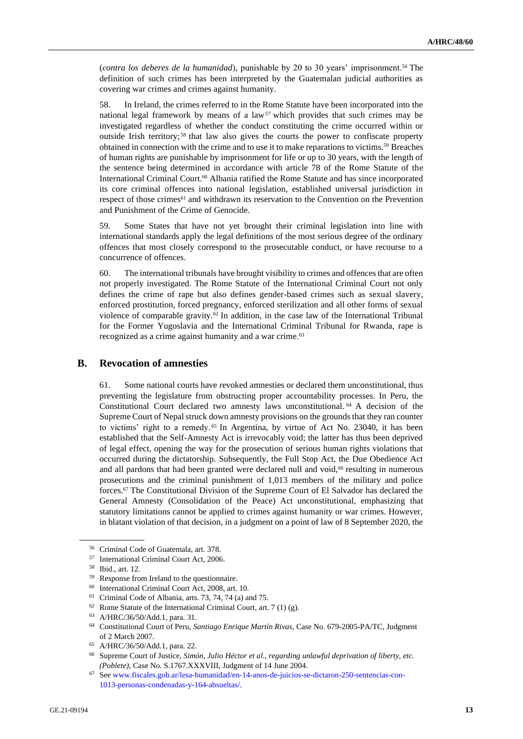(*contra los deberes de la humanidad*), punishable by 20 to 30 years' imprisonment.<sup>56</sup> The definition of such crimes has been interpreted by the Guatemalan judicial authorities as covering war crimes and crimes against humanity.

58. In Ireland, the crimes referred to in the Rome Statute have been incorporated into the national legal framework by means of a  $law<sup>57</sup>$  which provides that such crimes may be investigated regardless of whether the conduct constituting the crime occurred within or outside Irish territory; <sup>58</sup> that law also gives the courts the power to confiscate property obtained in connection with the crime and to use it to make reparations to victims.<sup>59</sup> Breaches of human rights are punishable by imprisonment for life or up to 30 years, with the length of the sentence being determined in accordance with article 78 of the Rome Statute of the International Criminal Court.<sup>60</sup> Albania ratified the Rome Statute and has since incorporated its core criminal offences into national legislation, established universal jurisdiction in respect of those crimes<sup>61</sup> and withdrawn its reservation to the Convention on the Prevention and Punishment of the Crime of Genocide.

59. Some States that have not yet brought their criminal legislation into line with international standards apply the legal definitions of the most serious degree of the ordinary offences that most closely correspond to the prosecutable conduct, or have recourse to a concurrence of offences.

60. The international tribunals have brought visibility to crimes and offences that are often not properly investigated. The Rome Statute of the International Criminal Court not only defines the crime of rape but also defines gender-based crimes such as sexual slavery, enforced prostitution, forced pregnancy, enforced sterilization and all other forms of sexual violence of comparable gravity.<sup>62</sup> In addition, in the case law of the International Tribunal for the Former Yugoslavia and the International Criminal Tribunal for Rwanda, rape is recognized as a crime against humanity and a war crime.<sup>63</sup>

### **B. Revocation of amnesties**

61. Some national courts have revoked amnesties or declared them unconstitutional, thus preventing the legislature from obstructing proper accountability processes. In Peru, the Constitutional Court declared two amnesty laws unconstitutional. <sup>64</sup> A decision of the Supreme Court of Nepal struck down amnesty provisions on the grounds that they ran counter to victims' right to a remedy.<sup>65</sup> In Argentina, by virtue of Act No. 23040, it has been established that the Self-Amnesty Act is irrevocably void; the latter has thus been deprived of legal effect, opening the way for the prosecution of serious human rights violations that occurred during the dictatorship. Subsequently, the Full Stop Act, the Due Obedience Act and all pardons that had been granted were declared null and void,<sup>66</sup> resulting in numerous prosecutions and the criminal punishment of 1,013 members of the military and police forces.<sup>67</sup> The Constitutional Division of the Supreme Court of El Salvador has declared the General Amnesty (Consolidation of the Peace) Act unconstitutional, emphasizing that statutory limitations cannot be applied to crimes against humanity or war crimes. However, in blatant violation of that decision, in a judgment on a point of law of 8 September 2020, the

<sup>56</sup> Criminal Code of Guatemala, art. 378.

<sup>57</sup> International Criminal Court Act, 2006.

<sup>58</sup> Ibid., art. 12.

<sup>59</sup> Response from Ireland to the questionnaire.

<sup>60</sup> International Criminal Court Act, 2008, art. 10.

<sup>61</sup> Criminal Code of Albania, arts. 73, 74, 74 (a) and 75.

 $62$  Rome Statute of the International Criminal Court, art. 7 (1) (g).

<sup>63</sup> A/HRC/36/50/Add.1, para. 31.

<sup>64</sup> Constitutional Court of Peru, *Santiago Enrique Martín Rivas*, Case No. 679-2005-PA/TC, Judgment of 2 March 2007.

<sup>65</sup> A/HRC/36/50/Add.1, para. 22.

<sup>66</sup> Supreme Court of Justice, *Simón, Julio Héctor et al., regarding unlawful deprivation of liberty, etc. (Poblete)*, Case No. S.1767.XXXVIII, Judgment of 14 June 2004.

<sup>67</sup> Se[e www.fiscales.gob.ar/lesa-humanidad/en-14-anos-de-juicios-se-dictaron-250-sentencias-con-](http://www.fiscales.gob.ar/lesa-humanidad/en-14-anos-de-juicios-se-dictaron-250-sentencias-con-1013-personas-condenadas-y-164-absueltas/)[1013-personas-condenadas-y-164-absueltas/.](http://www.fiscales.gob.ar/lesa-humanidad/en-14-anos-de-juicios-se-dictaron-250-sentencias-con-1013-personas-condenadas-y-164-absueltas/)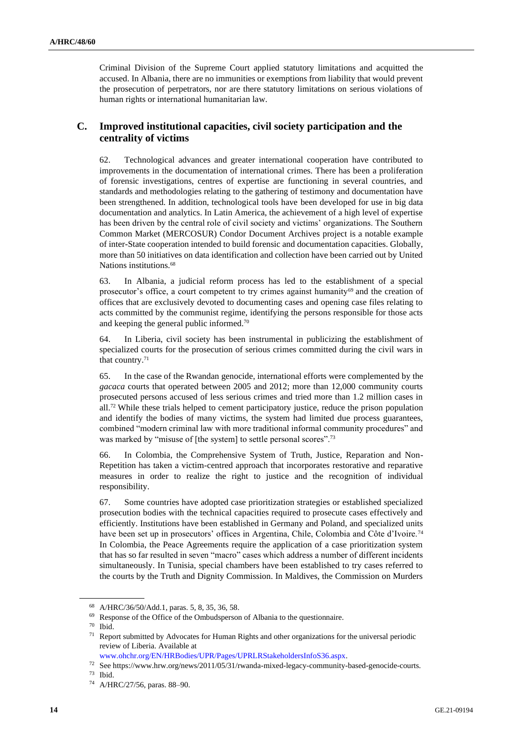Criminal Division of the Supreme Court applied statutory limitations and acquitted the accused. In Albania, there are no immunities or exemptions from liability that would prevent the prosecution of perpetrators, nor are there statutory limitations on serious violations of human rights or international humanitarian law.

## **C. Improved institutional capacities, civil society participation and the centrality of victims**

62. Technological advances and greater international cooperation have contributed to improvements in the documentation of international crimes. There has been a proliferation of forensic investigations, centres of expertise are functioning in several countries, and standards and methodologies relating to the gathering of testimony and documentation have been strengthened. In addition, technological tools have been developed for use in big data documentation and analytics. In Latin America, the achievement of a high level of expertise has been driven by the central role of civil society and victims' organizations. The Southern Common Market (MERCOSUR) Condor Document Archives project is a notable example of inter-State cooperation intended to build forensic and documentation capacities. Globally, more than 50 initiatives on data identification and collection have been carried out by United Nations institutions.<sup>68</sup>

63. In Albania, a judicial reform process has led to the establishment of a special prosecutor's office, a court competent to try crimes against humanity<sup>69</sup> and the creation of offices that are exclusively devoted to documenting cases and opening case files relating to acts committed by the communist regime, identifying the persons responsible for those acts and keeping the general public informed.<sup>70</sup>

64. In Liberia, civil society has been instrumental in publicizing the establishment of specialized courts for the prosecution of serious crimes committed during the civil wars in that country.<sup>71</sup>

65. In the case of the Rwandan genocide, international efforts were complemented by the *gacaca* courts that operated between 2005 and 2012; more than 12,000 community courts prosecuted persons accused of less serious crimes and tried more than 1.2 million cases in all.<sup>72</sup> While these trials helped to cement participatory justice, reduce the prison population and identify the bodies of many victims, the system had limited due process guarantees, combined "modern criminal law with more traditional informal community procedures" and was marked by "misuse of [the system] to settle personal scores".<sup>73</sup>

66. In Colombia, the Comprehensive System of Truth, Justice, Reparation and Non-Repetition has taken a victim-centred approach that incorporates restorative and reparative measures in order to realize the right to justice and the recognition of individual responsibility.

67. Some countries have adopted case prioritization strategies or established specialized prosecution bodies with the technical capacities required to prosecute cases effectively and efficiently. Institutions have been established in Germany and Poland, and specialized units have been set up in prosecutors' offices in Argentina, Chile, Colombia and Côte d'Ivoire.<sup>74</sup> In Colombia, the Peace Agreements require the application of a case prioritization system that has so far resulted in seven "macro" cases which address a number of different incidents simultaneously. In Tunisia, special chambers have been established to try cases referred to the courts by the Truth and Dignity Commission. In Maldives, the Commission on Murders

<sup>68</sup> A/HRC/36/50/Add.1, paras. 5, 8, 35, 36, 58.

<sup>69</sup> Response of the Office of the Ombudsperson of Albania to the questionnaire.

<sup>70</sup> Ibid.

<sup>&</sup>lt;sup>71</sup> Report submitted by Advocates for Human Rights and other organizations for the universal periodic review of Liberia. Available at

[www.ohchr.org/EN/HRBodies/UPR/Pages/UPRLRStakeholdersInfoS36.aspx.](http://www.ohchr.org/EN/HRBodies/UPR/Pages/UPRLRStakeholdersInfoS36.aspx) 

<sup>72</sup> See https://www.hrw.org/news/2011/05/31/rwanda-mixed-legacy-community-based-genocide-courts.

<sup>73</sup> Ibid.

<sup>74</sup> A/HRC/27/56, paras. 88–90.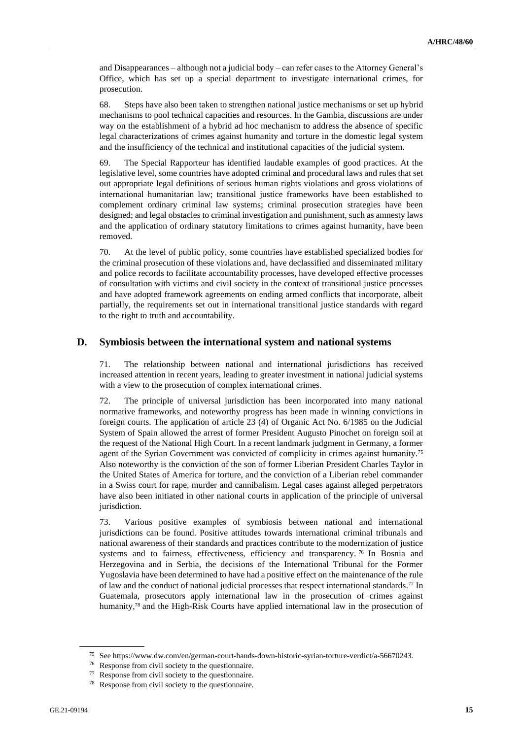and Disappearances – although not a judicial body – can refer cases to the Attorney General's Office, which has set up a special department to investigate international crimes, for prosecution.

68. Steps have also been taken to strengthen national justice mechanisms or set up hybrid mechanisms to pool technical capacities and resources. In the Gambia, discussions are under way on the establishment of a hybrid ad hoc mechanism to address the absence of specific legal characterizations of crimes against humanity and torture in the domestic legal system and the insufficiency of the technical and institutional capacities of the judicial system.

69. The Special Rapporteur has identified laudable examples of good practices. At the legislative level, some countries have adopted criminal and procedural laws and rules that set out appropriate legal definitions of serious human rights violations and gross violations of international humanitarian law; transitional justice frameworks have been established to complement ordinary criminal law systems; criminal prosecution strategies have been designed; and legal obstacles to criminal investigation and punishment, such as amnesty laws and the application of ordinary statutory limitations to crimes against humanity, have been removed.

70. At the level of public policy, some countries have established specialized bodies for the criminal prosecution of these violations and, have declassified and disseminated military and police records to facilitate accountability processes, have developed effective processes of consultation with victims and civil society in the context of transitional justice processes and have adopted framework agreements on ending armed conflicts that incorporate, albeit partially, the requirements set out in international transitional justice standards with regard to the right to truth and accountability.

### **D. Symbiosis between the international system and national systems**

71. The relationship between national and international jurisdictions has received increased attention in recent years, leading to greater investment in national judicial systems with a view to the prosecution of complex international crimes.

72. The principle of universal jurisdiction has been incorporated into many national normative frameworks, and noteworthy progress has been made in winning convictions in foreign courts. The application of article 23 (4) of Organic Act No. 6/1985 on the Judicial System of Spain allowed the arrest of former President Augusto Pinochet on foreign soil at the request of the National High Court. In a recent landmark judgment in Germany, a former agent of the Syrian Government was convicted of complicity in crimes against humanity.<sup>75</sup> Also noteworthy is the conviction of the son of former Liberian President Charles Taylor in the United States of America for torture, and the conviction of a Liberian rebel commander in a Swiss court for rape, murder and cannibalism. Legal cases against alleged perpetrators have also been initiated in other national courts in application of the principle of universal jurisdiction.

73. Various positive examples of symbiosis between national and international jurisdictions can be found. Positive attitudes towards international criminal tribunals and national awareness of their standards and practices contribute to the modernization of justice systems and to fairness, effectiveness, efficiency and transparency.<sup>76</sup> In Bosnia and Herzegovina and in Serbia, the decisions of the International Tribunal for the Former Yugoslavia have been determined to have had a positive effect on the maintenance of the rule of law and the conduct of national judicial processes that respect international standards.<sup>77</sup> In Guatemala, prosecutors apply international law in the prosecution of crimes against humanity,<sup>78</sup> and the High-Risk Courts have applied international law in the prosecution of

<sup>75</sup> See https://www.dw.com/en/german-court-hands-down-historic-syrian-torture-verdict/a-56670243.

<sup>76</sup> Response from civil society to the questionnaire.

<sup>77</sup> Response from civil society to the questionnaire.

<sup>78</sup> Response from civil society to the questionnaire.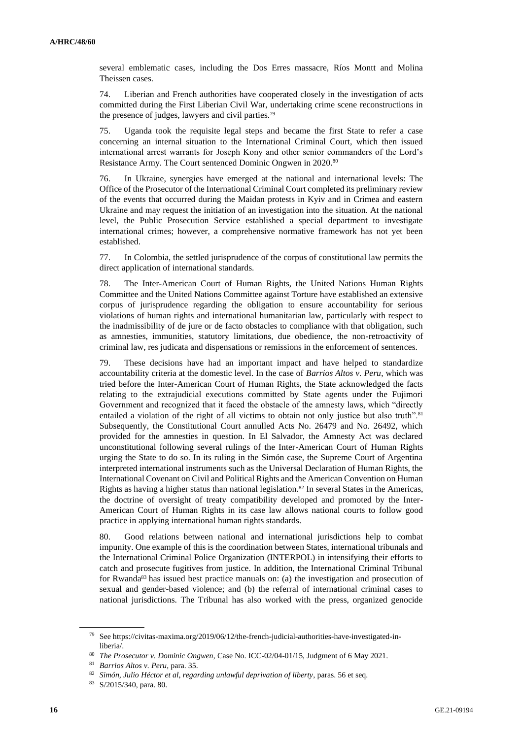several emblematic cases, including the Dos Erres massacre, Ríos Montt and Molina Theissen cases.

74. Liberian and French authorities have cooperated closely in the investigation of acts committed during the First Liberian Civil War, undertaking crime scene reconstructions in the presence of judges, lawyers and civil parties.<sup>79</sup>

75. Uganda took the requisite legal steps and became the first State to refer a case concerning an internal situation to the International Criminal Court, which then issued international arrest warrants for Joseph Kony and other senior commanders of the Lord's Resistance Army. The Court sentenced Dominic Ongwen in 2020.<sup>80</sup>

76. In Ukraine, synergies have emerged at the national and international levels: The Office of the Prosecutor of the International Criminal Court completed its preliminary review of the events that occurred during the Maidan protests in Kyiv and in Crimea and eastern Ukraine and may request the initiation of an investigation into the situation. At the national level, the Public Prosecution Service established a special department to investigate international crimes; however, a comprehensive normative framework has not yet been established.

77. In Colombia, the settled jurisprudence of the corpus of constitutional law permits the direct application of international standards.

78. The Inter-American Court of Human Rights, the United Nations Human Rights Committee and the United Nations Committee against Torture have established an extensive corpus of jurisprudence regarding the obligation to ensure accountability for serious violations of human rights and international humanitarian law, particularly with respect to the inadmissibility of de jure or de facto obstacles to compliance with that obligation, such as amnesties, immunities, statutory limitations, due obedience, the non-retroactivity of criminal law, res judicata and dispensations or remissions in the enforcement of sentences.

79. These decisions have had an important impact and have helped to standardize accountability criteria at the domestic level. In the case of *Barrios Altos v. Peru*, which was tried before the Inter-American Court of Human Rights, the State acknowledged the facts relating to the extrajudicial executions committed by State agents under the Fujimori Government and recognized that it faced the obstacle of the amnesty laws, which "directly entailed a violation of the right of all victims to obtain not only justice but also truth".<sup>81</sup> Subsequently, the Constitutional Court annulled Acts No. 26479 and No. 26492, which provided for the amnesties in question. In El Salvador, the Amnesty Act was declared unconstitutional following several rulings of the Inter-American Court of Human Rights urging the State to do so. In its ruling in the Simón case, the Supreme Court of Argentina interpreted international instruments such as the Universal Declaration of Human Rights, the International Covenant on Civil and Political Rights and the American Convention on Human Rights as having a higher status than national legislation.<sup>82</sup> In several States in the Americas, the doctrine of oversight of treaty compatibility developed and promoted by the Inter-American Court of Human Rights in its case law allows national courts to follow good practice in applying international human rights standards.

80. Good relations between national and international jurisdictions help to combat impunity. One example of this is the coordination between States, international tribunals and the International Criminal Police Organization (INTERPOL) in intensifying their efforts to catch and prosecute fugitives from justice. In addition, the International Criminal Tribunal for Rwanda<sup>83</sup> has issued best practice manuals on: (a) the investigation and prosecution of sexual and gender-based violence; and (b) the referral of international criminal cases to national jurisdictions. The Tribunal has also worked with the press, organized genocide

<sup>79</sup> See https://civitas-maxima.org/2019/06/12/the-french-judicial-authorities-have-investigated-inliberia/.

<sup>80</sup> *The Prosecutor v. Dominic Ongwen*, Case No. ICC-02/04-01/15, Judgment of 6 May 2021.

<sup>81</sup> *Barrios Altos v. Peru*, para. 35.

<sup>82</sup> *Simón, Julio Héctor et al, regarding unlawful deprivation of liberty*, paras. 56 et seq.

<sup>83</sup> S/2015/340, para. 80.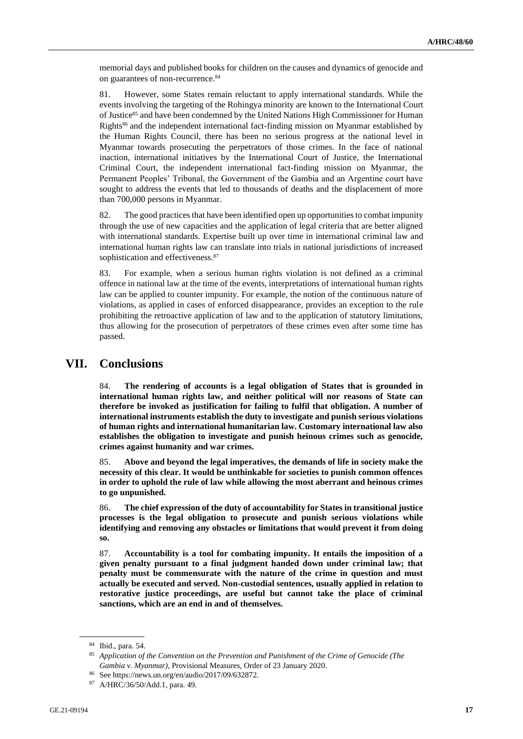memorial days and published books for children on the causes and dynamics of genocide and on guarantees of non-recurrence.<sup>84</sup>

81. However, some States remain reluctant to apply international standards. While the events involving the targeting of the Rohingya minority are known to the International Court of Justice<sup>85</sup> and have been condemned by the United Nations High Commissioner for Human Rights<sup>86</sup> and the independent international fact-finding mission on Myanmar established by the Human Rights Council, there has been no serious progress at the national level in Myanmar towards prosecuting the perpetrators of those crimes. In the face of national inaction, international initiatives by the International Court of Justice, the International Criminal Court, the independent international fact-finding mission on Myanmar, the Permanent Peoples' Tribunal, the Government of the Gambia and an Argentine court have sought to address the events that led to thousands of deaths and the displacement of more than 700,000 persons in Myanmar.

82. The good practices that have been identified open up opportunities to combat impunity through the use of new capacities and the application of legal criteria that are better aligned with international standards. Expertise built up over time in international criminal law and international human rights law can translate into trials in national jurisdictions of increased sophistication and effectiveness.<sup>87</sup>

83. For example, when a serious human rights violation is not defined as a criminal offence in national law at the time of the events, interpretations of international human rights law can be applied to counter impunity. For example, the notion of the continuous nature of violations, as applied in cases of enforced disappearance, provides an exception to the rule prohibiting the retroactive application of law and to the application of statutory limitations, thus allowing for the prosecution of perpetrators of these crimes even after some time has passed.

## **VII. Conclusions**

84. **The rendering of accounts is a legal obligation of States that is grounded in international human rights law, and neither political will nor reasons of State can therefore be invoked as justification for failing to fulfil that obligation. A number of international instruments establish the duty to investigate and punish serious violations of human rights and international humanitarian law. Customary international law also establishes the obligation to investigate and punish heinous crimes such as genocide, crimes against humanity and war crimes.**

85. **Above and beyond the legal imperatives, the demands of life in society make the necessity of this clear. It would be unthinkable for societies to punish common offences in order to uphold the rule of law while allowing the most aberrant and heinous crimes to go unpunished.**

86. **The chief expression of the duty of accountability for States in transitional justice processes is the legal obligation to prosecute and punish serious violations while identifying and removing any obstacles or limitations that would prevent it from doing so.**

87. **Accountability is a tool for combating impunity. It entails the imposition of a given penalty pursuant to a final judgment handed down under criminal law; that penalty must be commensurate with the nature of the crime in question and must actually be executed and served. Non-custodial sentences, usually applied in relation to restorative justice proceedings, are useful but cannot take the place of criminal sanctions, which are an end in and of themselves.**

<sup>84</sup> Ibid., para. 54.

<sup>85</sup> *Application of the Convention on the Prevention and Punishment of the Crime of Genocide (The Gambia v. Myanmar)*, Provisional Measures, Order of 23 January 2020.

<sup>86</sup> See https://news.un.org/en/audio/2017/09/632872.

<sup>87</sup> A/HRC/36/50/Add.1, para. 49.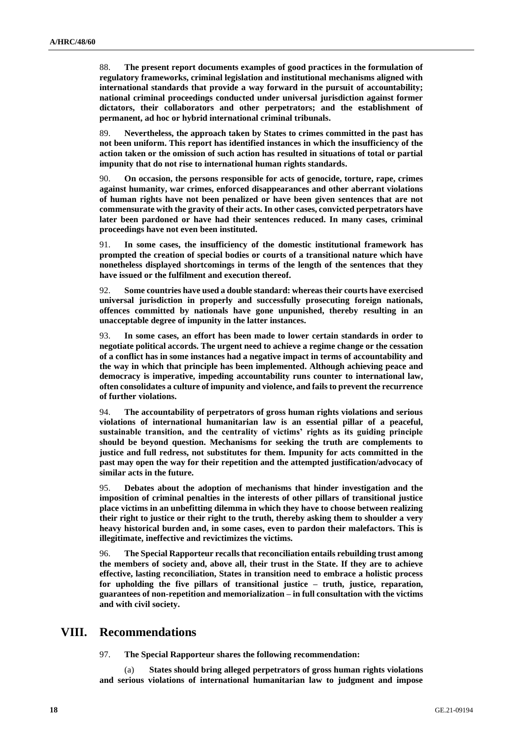88. **The present report documents examples of good practices in the formulation of regulatory frameworks, criminal legislation and institutional mechanisms aligned with international standards that provide a way forward in the pursuit of accountability; national criminal proceedings conducted under universal jurisdiction against former dictators, their collaborators and other perpetrators; and the establishment of permanent, ad hoc or hybrid international criminal tribunals.**

89. **Nevertheless, the approach taken by States to crimes committed in the past has not been uniform. This report has identified instances in which the insufficiency of the action taken or the omission of such action has resulted in situations of total or partial impunity that do not rise to international human rights standards.** 

90. **On occasion, the persons responsible for acts of genocide, torture, rape, crimes against humanity, war crimes, enforced disappearances and other aberrant violations of human rights have not been penalized or have been given sentences that are not commensurate with the gravity of their acts. In other cases, convicted perpetrators have later been pardoned or have had their sentences reduced. In many cases, criminal proceedings have not even been instituted.**

91. **In some cases, the insufficiency of the domestic institutional framework has prompted the creation of special bodies or courts of a transitional nature which have nonetheless displayed shortcomings in terms of the length of the sentences that they have issued or the fulfilment and execution thereof.**

92. **Some countries have used a double standard: whereas their courts have exercised universal jurisdiction in properly and successfully prosecuting foreign nationals, offences committed by nationals have gone unpunished, thereby resulting in an unacceptable degree of impunity in the latter instances.** 

93. **In some cases, an effort has been made to lower certain standards in order to negotiate political accords. The urgent need to achieve a regime change or the cessation of a conflict has in some instances had a negative impact in terms of accountability and the way in which that principle has been implemented. Although achieving peace and democracy is imperative, impeding accountability runs counter to international law, often consolidates a culture of impunity and violence, and fails to prevent the recurrence of further violations.**

94. **The accountability of perpetrators of gross human rights violations and serious violations of international humanitarian law is an essential pillar of a peaceful, sustainable transition, and the centrality of victims' rights as its guiding principle should be beyond question. Mechanisms for seeking the truth are complements to justice and full redress, not substitutes for them. Impunity for acts committed in the past may open the way for their repetition and the attempted justification/advocacy of similar acts in the future.**

95. **Debates about the adoption of mechanisms that hinder investigation and the imposition of criminal penalties in the interests of other pillars of transitional justice place victims in an unbefitting dilemma in which they have to choose between realizing their right to justice or their right to the truth, thereby asking them to shoulder a very heavy historical burden and, in some cases, even to pardon their malefactors. This is illegitimate, ineffective and revictimizes the victims.** 

96. **The Special Rapporteur recalls that reconciliation entails rebuilding trust among the members of society and, above all, their trust in the State. If they are to achieve effective, lasting reconciliation, States in transition need to embrace a holistic process for upholding the five pillars of transitional justice – truth, justice, reparation, guarantees of non-repetition and memorialization – in full consultation with the victims and with civil society.**

### **VIII. Recommendations**

97. **The Special Rapporteur shares the following recommendation:** 

(a) **States should bring alleged perpetrators of gross human rights violations and serious violations of international humanitarian law to judgment and impose**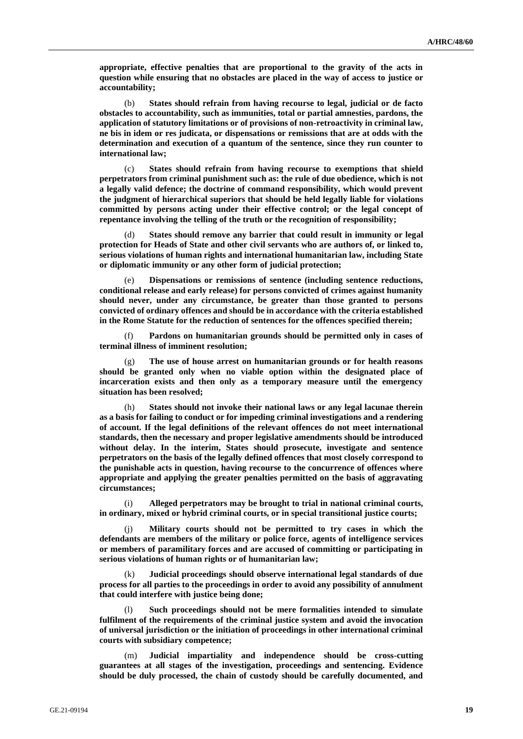**appropriate, effective penalties that are proportional to the gravity of the acts in question while ensuring that no obstacles are placed in the way of access to justice or accountability;**

(b) **States should refrain from having recourse to legal, judicial or de facto obstacles to accountability, such as immunities, total or partial amnesties, pardons, the application of statutory limitations or of provisions of non-retroactivity in criminal law, ne bis in idem or res judicata, or dispensations or remissions that are at odds with the determination and execution of a quantum of the sentence, since they run counter to international law;**

(c) **States should refrain from having recourse to exemptions that shield perpetrators from criminal punishment such as: the rule of due obedience, which is not a legally valid defence; the doctrine of command responsibility, which would prevent the judgment of hierarchical superiors that should be held legally liable for violations committed by persons acting under their effective control; or the legal concept of repentance involving the telling of the truth or the recognition of responsibility;**

(d) **States should remove any barrier that could result in immunity or legal protection for Heads of State and other civil servants who are authors of, or linked to, serious violations of human rights and international humanitarian law, including State or diplomatic immunity or any other form of judicial protection;** 

(e) **Dispensations or remissions of sentence (including sentence reductions, conditional release and early release) for persons convicted of crimes against humanity should never, under any circumstance, be greater than those granted to persons convicted of ordinary offences and should be in accordance with the criteria established in the Rome Statute for the reduction of sentences for the offences specified therein;** 

(f) **Pardons on humanitarian grounds should be permitted only in cases of terminal illness of imminent resolution;**

(g) **The use of house arrest on humanitarian grounds or for health reasons should be granted only when no viable option within the designated place of incarceration exists and then only as a temporary measure until the emergency situation has been resolved;** 

(h) **States should not invoke their national laws or any legal lacunae therein as a basis for failing to conduct or for impeding criminal investigations and a rendering of account. If the legal definitions of the relevant offences do not meet international standards, then the necessary and proper legislative amendments should be introduced without delay. In the interim, States should prosecute, investigate and sentence perpetrators on the basis of the legally defined offences that most closely correspond to the punishable acts in question, having recourse to the concurrence of offences where appropriate and applying the greater penalties permitted on the basis of aggravating circumstances;**

(i) **Alleged perpetrators may be brought to trial in national criminal courts, in ordinary, mixed or hybrid criminal courts, or in special transitional justice courts;**

(j) **Military courts should not be permitted to try cases in which the defendants are members of the military or police force, agents of intelligence services or members of paramilitary forces and are accused of committing or participating in serious violations of human rights or of humanitarian law;**

(k) **Judicial proceedings should observe international legal standards of due process for all parties to the proceedings in order to avoid any possibility of annulment that could interfere with justice being done;** 

Such proceedings should not be mere formalities intended to simulate **fulfilment of the requirements of the criminal justice system and avoid the invocation of universal jurisdiction or the initiation of proceedings in other international criminal courts with subsidiary competence;**

(m) **Judicial impartiality and independence should be cross-cutting guarantees at all stages of the investigation, proceedings and sentencing. Evidence should be duly processed, the chain of custody should be carefully documented, and**